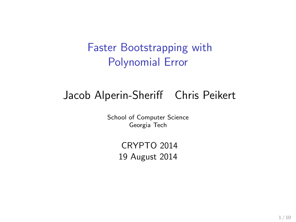#### Faster Bootstrapping with Polynomial Error

### Jacob Alperin-Sheriff Chris Peikert

School of Computer Science Georgia Tech

> CRYPTO 2014 19 August 2014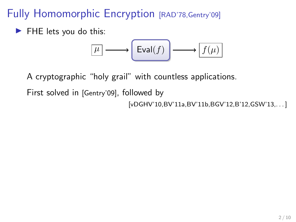Fully Homomorphic Encryption [RAD'78, Gentry'09]

 $\blacktriangleright$  FHE lets you do this:

$$
\boxed{\mu} \longrightarrow \boxed{\mathrm{Eval}(f)} \longrightarrow \boxed{f(\mu)}
$$

A cryptographic "holy grail" with countless applications.

First solved in [Gentry'09], followed by

[vDGHV'10,BV'11a,BV'11b,BGV'12,B'12,GSW'13,...]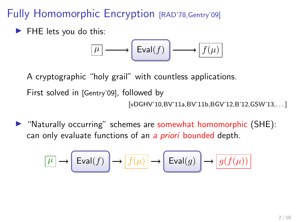#### Fully Homomorphic Encryption [RAD'78, Gentry'09]

 $\blacktriangleright$  FHE lets you do this:

$$
\boxed{\mu} \longrightarrow \boxed{\mathrm{Eval}(f)} \longrightarrow \boxed{f(\mu)}
$$

A cryptographic "holy grail" with countless applications.

First solved in [Gentry'09], followed by

[vDGHV'10,BV'11a,BV'11b,BGV'12,B'12,GSW'13,. . . ]

 $\blacktriangleright$  "Naturally occurring" schemes are somewhat homomorphic (SHE): can only evaluate functions of an a *priori* bounded depth.

$$
\boxed{\mu} \to \boxed{\mathrm{Eval}(f)} \to \boxed{f(\mu)} \to \boxed{\mathrm{Eval}(g)} \to \boxed{g(f(\mu))}
$$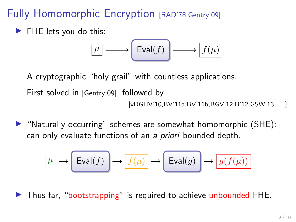Fully Homomorphic Encryption [RAD'78, Gentry'09]

 $\blacktriangleright$  FHE lets you do this:

$$
\boxed{\mu} \longrightarrow \boxed{\mathrm{Eval}(f)} \longrightarrow \boxed{f(\mu)}
$$

A cryptographic "holy grail" with countless applications.

First solved in [Gentry'09], followed by

[vDGHV'10,BV'11a,BV'11b,BGV'12,B'12,GSW'13,. . . ]

 $\triangleright$  "Naturally occurring" schemes are somewhat homomorphic (SHE): can only evaluate functions of an a priori bounded depth.

$$
\boxed{\mu} \to \boxed{\mathrm{Eval}(f)} \to \boxed{f(\mu)} \to \boxed{\mathrm{Eval}(g)} \to \boxed{g(f(\mu))}
$$

In Thus far, "bootstrapping" is required to achieve unbounded FHE.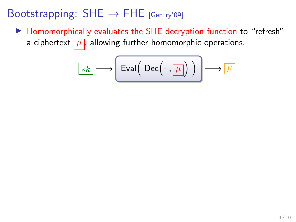▶ Homomorphically evaluates the SHE decryption function to "refresh" a ciphertext  $\boxed{\mu}$ , allowing further homomorphic operations.

$$
\boxed{sk} \longrightarrow \boxed{\mathsf{Eval}\Big(\; \mathsf{Dec}\Big(\cdot\, , \boxed{\mu}\Big)\; \Big) \longrightarrow \boxed{\mu}
$$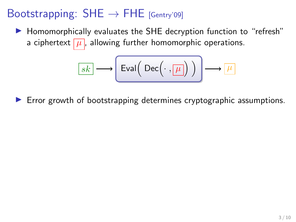▶ Homomorphically evaluates the SHE decryption function to "refresh" a ciphertext  $\boxed{\mu}$ , allowing further homomorphic operations.

$$
\boxed{sk} \longrightarrow \boxed{\mathsf{Eval}\Big(\; \mathsf{Dec}\Big(\cdot\,,\fbox{$\mu$} \Big)\; \Big) \longrightarrow \fbox{$\mu$}
$$

 $\triangleright$  Error growth of bootstrapping determines cryptographic assumptions.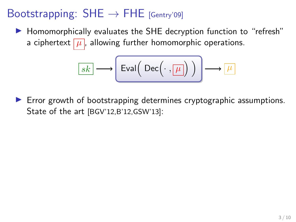▶ Homomorphically evaluates the SHE decryption function to "refresh" a ciphertext  $\boxed{\mu}$ , allowing further homomorphic operations.

$$
\boxed{sk} \longrightarrow \boxed{\mathsf{Eval}\Big(\; \mathsf{Dec}\Big(\cdot\,,\fbox{$\mu$} \Big]\Big)\; \Bigg) \longrightarrow \fbox{$\mu$}
$$

 $\triangleright$  Error growth of bootstrapping determines cryptographic assumptions. State of the art [BGV'12,B'12,GSW'13]: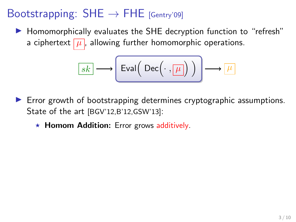▶ Homomorphically evaluates the SHE decryption function to "refresh" a ciphertext  $\boxed{\mu}$ , allowing further homomorphic operations.

$$
\boxed{sk} \longrightarrow \boxed{\mathsf{Eval}\Big(\; \mathsf{Dec}\Big(\cdot\,,\fbox{$\mu$} \Big]\Big)\; \Bigg) \longrightarrow \fbox{$\mu$}
$$

- $\triangleright$  Error growth of bootstrapping determines cryptographic assumptions. State of the art [BGV'12,B'12,GSW'13]:
	- $\star$  Homom Addition: Error grows additively.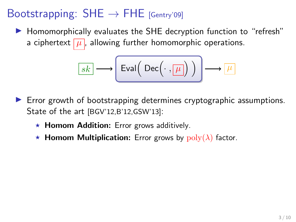▶ Homomorphically evaluates the SHE decryption function to "refresh" a ciphertext  $\mu$ , allowing further homomorphic operations.

$$
\boxed{sk} \longrightarrow \boxed{\mathsf{Eval}\Big(\; \mathsf{Dec}\Big(\cdot\,,\fbox{$\mu$} \Big)\; \Big) \longrightarrow \fbox{$\mu$}
$$

- $\triangleright$  Error growth of bootstrapping determines cryptographic assumptions. State of the art [BGV'12,B'12,GSW'13]:
	- $\star$  Homom Addition: Error grows additively.
	- **\* Homom Multiplication:** Error grows by  $poly(\lambda)$  factor.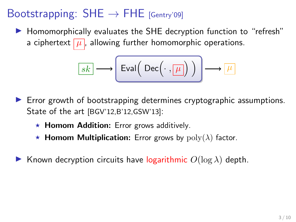$\blacktriangleright$  Homomorphically evaluates the SHE decryption function to "refresh" a ciphertext  $\mu$ , allowing further homomorphic operations.

$$
\boxed{sk} \longrightarrow \boxed{\mathsf{Eval}\Big(\; \mathsf{Dec}\Big(\cdot\,,\fbox{$\mu$} \Big)\; \Big) \longrightarrow \fbox{$\mu$}
$$

- $\triangleright$  Error growth of bootstrapping determines cryptographic assumptions. State of the art [BGV'12,B'12,GSW'13]:
	- $\star$  Homom Addition: Error grows additively.
	- **K** Homom Multiplication: Error grows by  $poly(\lambda)$  factor.
- Known decryption circuits have logarithmic  $O(\log \lambda)$  depth.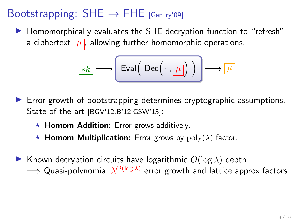$\blacktriangleright$  Homomorphically evaluates the SHE decryption function to "refresh" a ciphertext  $\boxed{\mu}$ , allowing further homomorphic operations.

$$
\boxed{sk} \longrightarrow \boxed{\mathsf{Eval}\Big(\; \mathsf{Dec}\Big(\cdot\,,\fbox{$\mu$} \Big]\Big) \Bigg) \longrightarrow \fbox{$\mu$}
$$

- $\triangleright$  Error growth of bootstrapping determines cryptographic assumptions. State of the art [BGV'12,B'12,GSW'13]:
	- $\star$  Homom Addition: Error grows additively.
	- **K** Homom Multiplication: Error grows by  $poly(\lambda)$  factor.
- **IGCO** Known decryption circuits have logarithmic  $O(\log \lambda)$  depth.  $\Longrightarrow$  Quasi-polynomial  $\lambda^{O(\log \lambda)}$  error growth and lattice approx factors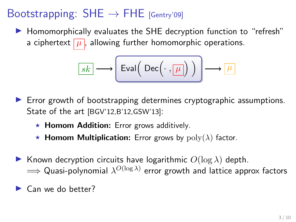$\blacktriangleright$  Homomorphically evaluates the SHE decryption function to "refresh" a ciphertext  $\boxed{\mu}$ , allowing further homomorphic operations.

$$
\boxed{sk} \longrightarrow \boxed{\mathsf{Eval}\Big(\; \mathsf{Dec}\Big(\cdot\,,\fbox{$\mu$} \Big]\Big)\; \Bigg) \longrightarrow \fbox{$\mu$}
$$

- $\triangleright$  Error growth of bootstrapping determines cryptographic assumptions. State of the art [BGV'12,B'12,GSW'13]:
	- $\star$  Homom Addition: Error grows additively.
	- **K** Homom Multiplication: Error grows by  $poly(\lambda)$  factor.
- **IGCO** Known decryption circuits have logarithmic  $O(\log \lambda)$  depth.  $\Longrightarrow$  Quasi-polynomial  $\lambda^{O(\log \lambda)}$  error growth and lattice approx factors
- $\blacktriangleright$  Can we do better?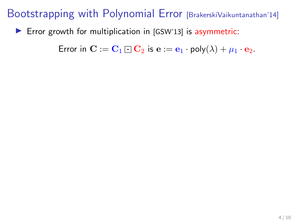$\triangleright$  Error growth for multiplication in [GSW'13] is asymmetric:

Error in  $\mathbf{C} := \mathbf{C}_1 \square \mathbf{C}_2$  is  $\mathbf{e} := \mathbf{e}_1 \cdot \text{poly}(\lambda) + \mu_1 \cdot \mathbf{e}_2$ .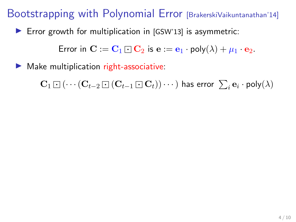$\triangleright$  Error growth for multiplication in [GSW'13] is asymmetric:

Error in  $\mathbf{C} := \mathbf{C}_1 \cap \mathbf{C}_2$  is  $\mathbf{e} := \mathbf{e}_1 \cdot \text{poly}(\lambda) + \mu_1 \cdot \mathbf{e}_2$ .

Make multiplication right-associative:

 ${\bf C}_1 \boxdot ( \cdots ({\bf C}_{t-2} \boxdot ( {\bf C}_{t-1} \boxdot {\bf C}_t) ) \cdots )$  has error  $\sum_i {\bf e}_i \cdot {\sf poly}(\lambda)$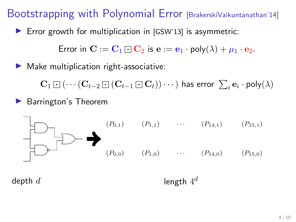$\blacktriangleright$  Error growth for multiplication in [GSW'13] is asymmetric:

Error in  $\mathbf{C} := \mathbf{C}_1 \square \mathbf{C}_2$  is  $\mathbf{e} := \mathbf{e}_1 \cdot \text{poly}(\lambda) + \mu_1 \cdot \mathbf{e}_2$ .

 $\blacktriangleright$  Make multiplication right-associative:

 ${\bf C}_1 \boxdot ( \cdots ({\bf C}_{t-2} \boxdot ( {\bf C}_{t-1} \boxdot {\bf C}_t) ) \cdots )$  has error  $\sum_i {\bf e}_i \cdot {\sf poly}(\lambda)$ 

 $\blacktriangleright$  Barrington's Theorem



depth  $d$ 

length  $4^d$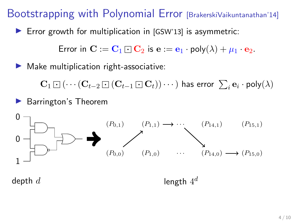$\blacktriangleright$  Error growth for multiplication in [GSW'13] is asymmetric:

Error in  $\mathbf{C} := \mathbf{C}_1 \cap \mathbf{C}_2$  is  $\mathbf{e} := \mathbf{e}_1 \cdot \text{poly}(\lambda) + \mu_1 \cdot \mathbf{e}_2$ .

 $\blacktriangleright$  Make multiplication right-associative:

 ${\bf C}_1 \boxdot ( \cdots ({\bf C}_{t-2} \boxdot ( {\bf C}_{t-1} \boxdot {\bf C}_t) ) \cdots )$  has error  $\sum_i {\bf e}_i \cdot {\sf poly}(\lambda)$ 

 $\blacktriangleright$  Barrington's Theorem



depth  $d$ 

length  $4^d$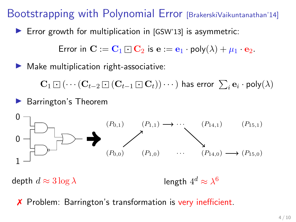$\triangleright$  Error growth for multiplication in [GSW'13] is asymmetric:

Error in  $\mathbf{C} := \mathbf{C}_1 \cap \mathbf{C}_2$  is  $\mathbf{e} := \mathbf{e}_1 \cdot \text{poly}(\lambda) + \mu_1 \cdot \mathbf{e}_2$ .

 $\blacktriangleright$  Make multiplication right-associative:

 ${\bf C}_1 \boxdot ( \cdots ({\bf C}_{t-2} \boxdot ( {\bf C}_{t-1} \boxdot {\bf C}_t) ) \cdots )$  has error  $\sum_i {\bf e}_i \cdot {\sf poly}(\lambda)$ 

 $\blacktriangleright$  Barrington's Theorem



depth  $d \approx 3 \log \lambda$ 

✗ Problem: Barrington's transformation is very inefficient.

length  $4^d \approx \lambda^6$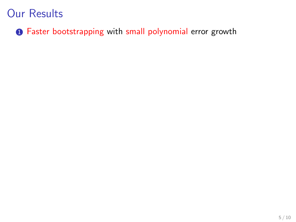**1** Faster bootstrapping with small polynomial error growth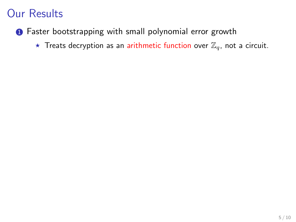- **1** Faster bootstrapping with small polynomial error growth
	- $\star$  Treats decryption as an arithmetic function over  $\mathbb{Z}_q$ , not a circuit.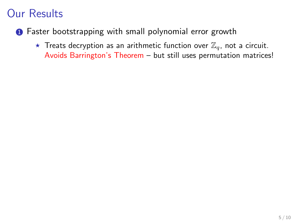- **1** Faster bootstrapping with small polynomial error growth
	- $\star$  Treats decryption as an arithmetic function over  $\mathbb{Z}_q$ , not a circuit. Avoids Barrington's Theorem – but still uses permutation matrices!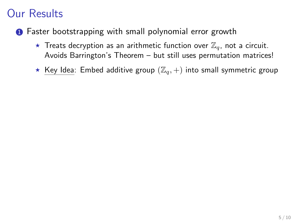- **1** Faster bootstrapping with small polynomial error growth
	- $\star$  Treats decryption as an arithmetic function over  $\mathbb{Z}_q$ , not a circuit. Avoids Barrington's Theorem – but still uses permutation matrices!
	- ★ Key Idea: Embed additive group  $(\mathbb{Z}_q, +)$  into small symmetric group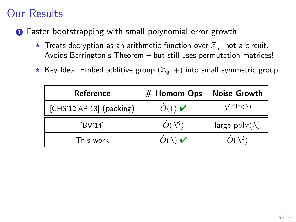- **1** Faster bootstrapping with small polynomial error growth
	- $\star$  Treats decryption as an arithmetic function over  $\mathbb{Z}_q$ , not a circuit. Avoids Barrington's Theorem – but still uses permutation matrices!
	- ★ Key Idea: Embed additive group  $(\mathbb{Z}_q, +)$  into small symmetric group

| <b>Reference</b>          | # Homom Ops                          | <b>Noise Growth</b>          |
|---------------------------|--------------------------------------|------------------------------|
| [GHS'12, AP'13] (packing) | $\tilde{O}(1)$ $\blacktriangleright$ | $\lambda^{O(\log \lambda)}$  |
| [BV'14]                   | $\tilde{O}(\lambda^6)$               | large $\text{poly}(\lambda)$ |
| This work                 | $O(\lambda)$                         | $\tilde{O}(\lambda^2)$       |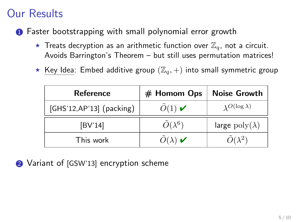- **1** Faster bootstrapping with small polynomial error growth
	- $\star$  Treats decryption as an arithmetic function over  $\mathbb{Z}_q$ , not a circuit. Avoids Barrington's Theorem – but still uses permutation matrices!
	- $\star$  Key Idea: Embed additive group  $(\mathbb{Z}_q, +)$  into small symmetric group

| <b>Reference</b>          | # Homom Ops                                | <b>Noise Growth</b>          |
|---------------------------|--------------------------------------------|------------------------------|
| [GHS'12, AP'13] (packing) | $\tilde{O}(1)$ $\blacktriangleright$       | $\lambda$ O(log $\lambda$ )  |
| [BV'14]                   | $\tilde{O}(\lambda^6)$                     | large $\text{poly}(\lambda)$ |
| This work                 | $\tilde{O}(\lambda)$ $\blacktriangleright$ | $\tilde{O}(\lambda^2)$       |

2 Variant of [GSW'13] encryption scheme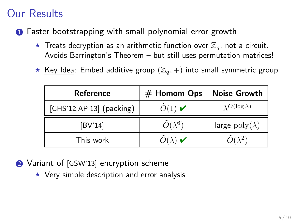- **1** Faster bootstrapping with small polynomial error growth
	- $\star$  Treats decryption as an arithmetic function over  $\mathbb{Z}_q$ , not a circuit. Avoids Barrington's Theorem – but still uses permutation matrices!
	- $\star$  Key Idea: Embed additive group  $(\mathbb{Z}_q, +)$  into small symmetric group

| <b>Reference</b>          | # Homom Ops                          | <b>Noise Growth</b>          |
|---------------------------|--------------------------------------|------------------------------|
| [GHS'12, AP'13] (packing) | $\tilde{O}(1)$ $\blacktriangleright$ | $\lambda$ O(log $\lambda$ )  |
| [BV'14]                   | $\tilde{O}(\lambda^6)$               | large $\text{poly}(\lambda)$ |
| This work                 | $O(\lambda)$                         | $\tilde{O}(\lambda^2)$       |

- 2 Variant of [GSW'13] encryption scheme
	- $\star$  Very simple description and error analysis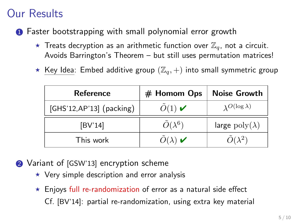- **1** Faster bootstrapping with small polynomial error growth
	- $\star$  Treats decryption as an arithmetic function over  $\mathbb{Z}_q$ , not a circuit. Avoids Barrington's Theorem – but still uses permutation matrices!
	- $\star$  Key Idea: Embed additive group  $(\mathbb{Z}_q, +)$  into small symmetric group

| <b>Reference</b>          | # Homom Ops                          | <b>Noise Growth</b>          |
|---------------------------|--------------------------------------|------------------------------|
| [GHS'12, AP'13] (packing) | $\tilde{O}(1)$ $\blacktriangleright$ | $\lambda$ O(log $\lambda$ )  |
| [BV'14]                   | $\tilde{O}(\lambda^6)$               | large $\text{poly}(\lambda)$ |
| This work                 | $O(\lambda)$                         | $\tilde{O}(\lambda^2)$       |

- 2 Variant of [GSW'13] encryption scheme
	- $\star$  Very simple description and error analysis
	- $\star$  Enjoys full re-randomization of error as a natural side effect Cf. [BV'14]: partial re-randomization, using extra key material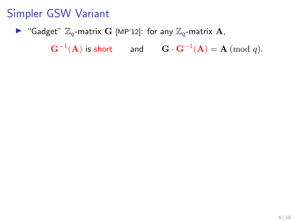Gadget"  $\mathbb{Z}_q$ -matrix G [MP'12]: for any  $\mathbb{Z}_q$ -matrix A,

 $\mathbf{G}^{-1}(\mathbf{A})$  is short and  $\mathbf{G} \cdot \mathbf{G}^{-1}(\mathbf{A}) = \mathbf{A} \; (\textrm{mod } q).$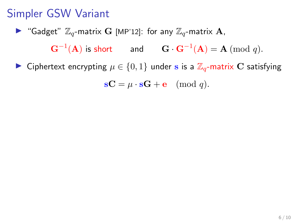Gadget"  $\mathbb{Z}_q$ -matrix G [MP'12]: for any  $\mathbb{Z}_q$ -matrix A,

 $\mathbf{G}^{-1}(\mathbf{A})$  is short and  $\mathbf{G} \cdot \mathbf{G}^{-1}(\mathbf{A}) = \mathbf{A} \; (\textrm{mod } q).$ 

► Ciphertext encrypting  $\mu \in \{0,1\}$  under s is a  $\mathbb{Z}_q$ -matrix C satisfying

 $\mathbf{s} \mathbf{C} = \mu \cdot \mathbf{s} \mathbf{G} + \mathbf{e} \pmod{q}.$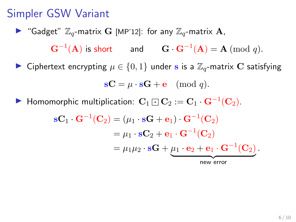Gadget"  $\mathbb{Z}_q$ -matrix G [MP'12]: for any  $\mathbb{Z}_q$ -matrix A,  $\mathbf{G}^{-1}(\mathbf{A})$  is short and  $\mathbf{G} \cdot \mathbf{G}^{-1}(\mathbf{A}) = \mathbf{A} \; (\textrm{mod } q).$ ► Ciphertext encrypting  $\mu \in \{0,1\}$  under s is a  $\mathbb{Z}_q$ -matrix C satisfying

$$
\mathbf{s} \mathbf{C} = \mu \cdot \mathbf{s} \mathbf{G} + \mathbf{e} \pmod{q}.
$$

▶ Homomorphic multiplication:  $\mathbf{C}_1 \boxdot \mathbf{C}_2 := \mathbf{C}_1 \cdot \mathbf{G}^{-1}(\mathbf{C}_2)$ .

$$
\mathbf{s} \mathbf{C}_1 \cdot \mathbf{G}^{-1}(\mathbf{C}_2) = (\mu_1 \cdot \mathbf{s} \mathbf{G} + \mathbf{e}_1) \cdot \mathbf{G}^{-1}(\mathbf{C}_2)
$$
  
=  $\mu_1 \cdot \mathbf{s} \mathbf{C}_2 + \mathbf{e}_1 \cdot \mathbf{G}^{-1}(\mathbf{C}_2)$   
=  $\mu_1 \mu_2 \cdot \mathbf{s} \mathbf{G} + \underbrace{\mu_1 \cdot \mathbf{e}_2 + \mathbf{e}_1 \cdot \mathbf{G}^{-1}(\mathbf{C}_2)}_{\text{new error}}.$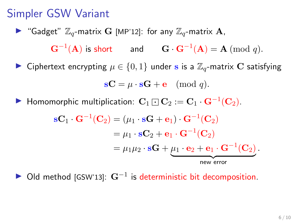Gadget"  $\mathbb{Z}_q$ -matrix G [MP'12]: for any  $\mathbb{Z}_q$ -matrix A,  $\mathbf{G}^{-1}(\mathbf{A})$  is short and  $\mathbf{G} \cdot \mathbf{G}^{-1}(\mathbf{A}) = \mathbf{A} \; (\textrm{mod } q).$ ► Ciphertext encrypting  $\mu \in \{0,1\}$  under s is a  $\mathbb{Z}_q$ -matrix C satisfying

$$
\mathbf{s} \mathbf{C} = \mu \cdot \mathbf{s} \mathbf{G} + \mathbf{e} \pmod{q}.
$$

▶ Homomorphic multiplication:  $\mathbf{C}_1 \boxdot \mathbf{C}_2 := \mathbf{C}_1 \cdot \mathbf{G}^{-1}(\mathbf{C}_2)$ .

$$
\mathbf{s} \mathbf{C}_1 \cdot \mathbf{G}^{-1}(\mathbf{C}_2) = (\mu_1 \cdot \mathbf{s} \mathbf{G} + \mathbf{e}_1) \cdot \mathbf{G}^{-1}(\mathbf{C}_2)
$$
  
=  $\mu_1 \cdot \mathbf{s} \mathbf{C}_2 + \mathbf{e}_1 \cdot \mathbf{G}^{-1}(\mathbf{C}_2)$   
=  $\mu_1 \mu_2 \cdot \mathbf{s} \mathbf{G} + \underbrace{\mu_1 \cdot \mathbf{e}_2 + \mathbf{e}_1 \cdot \mathbf{G}^{-1}(\mathbf{C}_2)}_{\text{new error}}.$ 

 $\triangleright$  Old method [GSW'13]:  $G^{-1}$  is deterministic bit decomposition.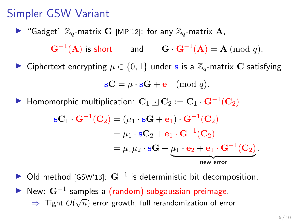Gadget"  $\mathbb{Z}_q$ -matrix G [MP'12]: for any  $\mathbb{Z}_q$ -matrix A,  $\mathbf{G}^{-1}(\mathbf{A})$  is short and  $\mathbf{G} \cdot \mathbf{G}^{-1}(\mathbf{A}) = \mathbf{A} \; (\textrm{mod } q).$ ► Ciphertext encrypting  $\mu \in \{0,1\}$  under s is a  $\mathbb{Z}_q$ -matrix C satisfying

$$
\mathbf{s} \mathbf{C} = \mu \cdot \mathbf{s} \mathbf{G} + \mathbf{e} \pmod{q}.
$$

▶ Homomorphic multiplication:  $\mathbf{C}_1 \boxdot \mathbf{C}_2 := \mathbf{C}_1 \cdot \mathbf{G}^{-1}(\mathbf{C}_2)$ .

$$
\mathbf{s} \mathbf{C}_1 \cdot \mathbf{G}^{-1}(\mathbf{C}_2) = (\mu_1 \cdot \mathbf{s} \mathbf{G} + \mathbf{e}_1) \cdot \mathbf{G}^{-1}(\mathbf{C}_2)
$$
  
=  $\mu_1 \cdot \mathbf{s} \mathbf{C}_2 + \mathbf{e}_1 \cdot \mathbf{G}^{-1}(\mathbf{C}_2)$   
=  $\mu_1 \mu_2 \cdot \mathbf{s} \mathbf{G} + \underbrace{\mu_1 \cdot \mathbf{e}_2 + \mathbf{e}_1 \cdot \mathbf{G}^{-1}(\mathbf{C}_2)}_{\text{new error}}.$ 

 $\triangleright$  Old method [GSW'13]:  $G^{-1}$  is deterministic bit decomposition. New:  $G^{-1}$  samples a (random) subgaussian preimage.  $\Rightarrow$  Tight  $O(\sqrt{n})$  error growth, full rerandomization of error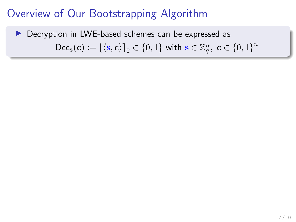### ▶ Decryption in LWE-based schemes can be expressed as  $\mathsf{Dec}_\mathbf{s}(\mathbf{c}) := \lfloor \langle \mathbf{s}, \mathbf{c} \rangle \rceil_2 \in \{0, 1\}$  with  $\mathbf{s} \in \mathbb{Z}_q^n$ ,  $\mathbf{c} \in \{0, 1\}^n$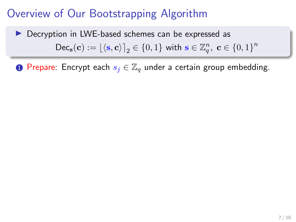$\triangleright$  Decryption in LWE-based schemes can be expressed as  $\mathsf{Dec}_\mathbf{s}(\mathbf{c}) := \lfloor \langle \mathbf{s}, \mathbf{c} \rangle \rceil_2 \in \{0, 1\}$  with  $\mathbf{s} \in \mathbb{Z}_q^n$ ,  $\mathbf{c} \in \{0, 1\}^n$ 

**1** Prepare: Encrypt each  $s_i \in \mathbb{Z}_q$  under a certain group embedding.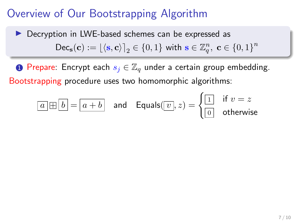$\triangleright$  Decryption in LWE-based schemes can be expressed as  $\mathsf{Dec}_\mathbf{s}(\mathbf{c}) := \lfloor \langle \mathbf{s}, \mathbf{c} \rangle \rceil_2 \in \{0, 1\}$  with  $\mathbf{s} \in \mathbb{Z}_q^n$ ,  $\mathbf{c} \in \{0, 1\}^n$ 

**1** Prepare: Encrypt each  $s_i \in \mathbb{Z}_q$  under a certain group embedding. Bootstrapping procedure uses two homomorphic algorithms:

$$
\boxed{a \boxplus b} = \boxed{a + b} \quad \text{and} \quad \text{Equals}(\boxed{v}, z) = \begin{cases} \boxed{1} & \text{if } v = z \\ \boxed{0} & \text{otherwise} \end{cases}
$$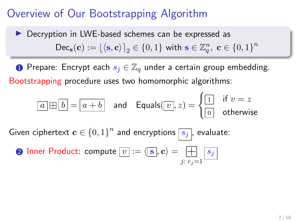### **Decryption in LWE-based schemes can be expressed as**  $\mathsf{Dec}_\mathbf{s}(\mathbf{c}) := \lfloor \langle \mathbf{s}, \mathbf{c} \rangle \rceil_2 \in \{0, 1\}$  with  $\mathbf{s} \in \mathbb{Z}_q^n$ ,  $\mathbf{c} \in \{0, 1\}^n$

**1** Prepare: Encrypt each  $s_i \in \mathbb{Z}_q$  under a certain group embedding. Bootstrapping procedure uses two homomorphic algorithms:

$$
\boxed{a \boxplus b} = \boxed{a + b} \quad \text{and} \quad \textsf{Equals}(\boxed{v}, z) = \begin{cases} \boxed{1} & \text{if } v = z \\ \boxed{0} & \text{otherwise} \end{cases}
$$

Given ciphertext  $\mathbf{c} \in \{0,1\}^n$  and encryptions  $\boxed{s_j}$ , evaluate:

**Q** Inner Product: compute 
$$
[v] := \langle \mathbf{s}, \mathbf{c} \rangle = \boxed{\frac{\mathbf{a}}{\mathbf{b}} \cdot \mathbf{c}_j = 1}
$$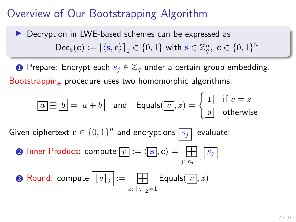## **Decryption in LWE-based schemes can be expressed as**  $\mathsf{Dec}_\mathbf{s}(\mathbf{c}) := \lfloor \langle \mathbf{s}, \mathbf{c} \rangle \rceil_2 \in \{0, 1\}$  with  $\mathbf{s} \in \mathbb{Z}_q^n$ ,  $\mathbf{c} \in \{0, 1\}^n$

**1** Prepare: Encrypt each  $s_i \in \mathbb{Z}_q$  under a certain group embedding. Bootstrapping procedure uses two homomorphic algorithms:

$$
\boxed{a \boxplus b} = \boxed{a + b} \quad \text{and} \quad \textsf{Equals}(\boxed{v}, z) = \begin{cases} \boxed{1} & \text{if } v = z \\ \boxed{0} & \text{otherwise} \end{cases}
$$

Given ciphertext  $\mathbf{c} \in \{0,1\}^n$  and encryptions  $\boxed{s_j}$ , evaluate:

**Q** Inner Product: compute 
$$
\boxed{v}
$$
 :=  $\langle \boxed{\mathbf{s}}, \mathbf{c} \rangle = \boxed{\frac{\mathbf{a}}{\mathbf{b}}}$   $s_j$ 

**8** Round: compute 
$$
[v]_2
$$
 :=  $[$   $\boxed{+}$   $\boxed{}$   $\boxed{v}$ , z)   
 $z: [z]_2 = 1$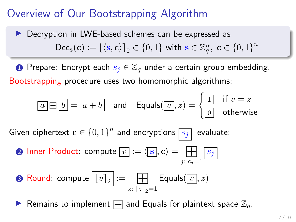## $\triangleright$  Decryption in LWE-based schemes can be expressed as  $\mathsf{Dec}_\mathbf{s}(\mathbf{c}) := \lfloor \langle \mathbf{s}, \mathbf{c} \rangle \rceil_2 \in \{0, 1\}$  with  $\mathbf{s} \in \mathbb{Z}_q^n$ ,  $\mathbf{c} \in \{0, 1\}^n$

**1** Prepare: Encrypt each  $s_i \in \mathbb{Z}_q$  under a certain group embedding. Bootstrapping procedure uses two homomorphic algorithms:

$$
\boxed{a \boxplus b} = \boxed{a + b} \quad \text{and} \quad \text{Equals}(\boxed{v}, z) = \begin{cases} \boxed{1} & \text{if } v = z \\ \boxed{0} & \text{otherwise} \end{cases}
$$

Given ciphertext  $\mathbf{c} \in \{0,1\}^n$  and encryptions  $\boxed{s_j}$ , evaluate:

 $\, {\bf 2} \,$  Inner Product: compute  $\overline{ \left[ v \right]} := \langle \overline{ \left[ {\bf s} \right]}, {\bf c} \rangle = 0$ ð j:  $c_j = 1$  $\overline{s_j}$ 

**8** Round: compute 
$$
\boxed{[v]_2} := \boxed{\frac{1}{z}
$$
  $\boxed{z_{12}=1}}$   $\boxed{z_{23}=1}$ 

**• Remains to implement**  $\Box$  and Equals for plaintext space  $\mathbb{Z}_q$ .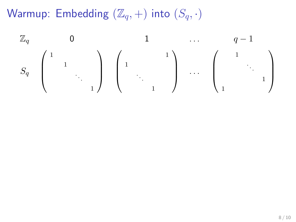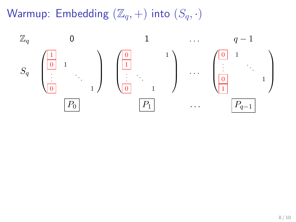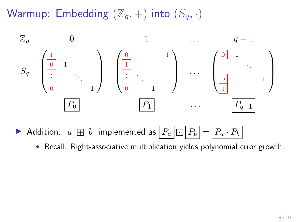

Addition:  $\boxed{a \boxplus b}$  implemented as  $\boxed{P_a \boxdot P_b} = \boxed{P_a \cdot P_b}$ 

 $\star$  Recall: Right-associative multiplication yields polynomial error growth.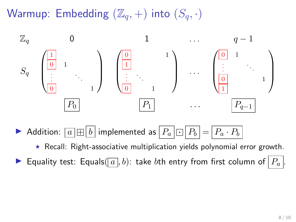

Addition:  $\boxed{a \boxplus b}$  implemented as  $\boxed{P_a \boxdot P_b} = \boxed{P_a \cdot P_b}$ 

 $\star$  Recall: Right-associative multiplication yields polynomial error growth.

**If** Equality test: Equals( $\boxed{a}$ , b): take bth entry from first column of  $\boxed{P_a}$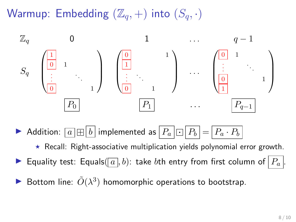

Addition:  $\boxed{a} \times \boxed{b}$  implemented as  $\boxed{P_a \cup P_b} = \boxed{P_a \cdot P_b}$ 

 $\star$  Recall: Right-associative multiplication yields polynomial error growth.

 $\blacktriangleright$  Equality test: Equals $(\lceil a \rceil, b)$ : take  $b$ th entry from first column of  $\lceil P_a \rceil$ 

Bottom line:  $\tilde{O}(\lambda^3)$  homomorphic operations to bootstrap.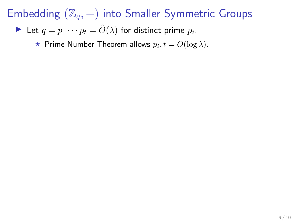Let 
$$
q = p_1 \cdots p_t = \tilde{O}(\lambda)
$$
 for distinct prime  $p_i$ .

 $\star$  Prime Number Theorem allows  $p_i, t = O(\log \lambda)$ .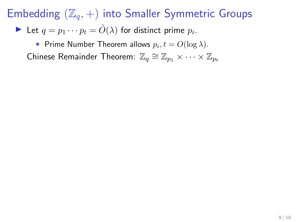Let 
$$
q = p_1 \cdots p_t = \tilde{O}(\lambda)
$$
 for distinct prime  $p_i$ .

 $\star$  Prime Number Theorem allows  $p_i, t = O(\log \lambda)$ . Chinese Remainder Theorem:  $\mathbb{Z}_q \cong \mathbb{Z}_{p_1} \times \cdots \times \mathbb{Z}_{p_t}$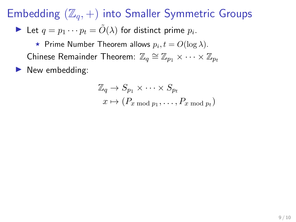Let 
$$
q = p_1 \cdots p_t = \tilde{O}(\lambda)
$$
 for distinct prime  $p_i$ .

 $\star$  Prime Number Theorem allows  $p_i, t = O(\log \lambda)$ . Chinese Remainder Theorem:  $\mathbb{Z}_q \cong \mathbb{Z}_{p_1} \times \cdots \times \mathbb{Z}_{p_t}$ 

 $\blacktriangleright$  New embedding:

$$
\mathbb{Z}_q \to S_{p_1} \times \cdots \times S_{p_t}
$$

$$
x \mapsto (P_{x \mod p_1}, \dots, P_{x \mod p_t})
$$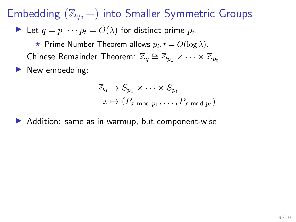In Let  $q = p_1 \cdots p_t = \tilde{O}(\lambda)$  for distinct prime  $p_i$ .

 $\star$  Prime Number Theorem allows  $p_i, t = O(\log \lambda)$ . Chinese Remainder Theorem:  $\mathbb{Z}_q \cong \mathbb{Z}_{p_1} \times \cdots \times \mathbb{Z}_{p_t}$ 

 $\blacktriangleright$  New embedding:

$$
\mathbb{Z}_q \to S_{p_1} \times \cdots \times S_{p_t}
$$

$$
x \mapsto (P_{x \mod p_1}, \dots, P_{x \mod p_t})
$$

 $\blacktriangleright$  Addition: same as in warmup, but component-wise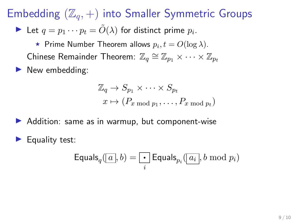In Let  $q = p_1 \cdots p_t = \tilde{O}(\lambda)$  for distinct prime  $p_i$ .

 $\star$  Prime Number Theorem allows  $p_i, t = O(\log \lambda)$ . Chinese Remainder Theorem:  $\mathbb{Z}_q \cong \mathbb{Z}_{p_1} \times \cdots \times \mathbb{Z}_{p_t}$ 

 $\blacktriangleright$  New embedding:

$$
\mathbb{Z}_q \to S_{p_1} \times \cdots \times S_{p_t}
$$

$$
x \mapsto (P_{x \mod p_1}, \dots, P_{x \mod p_t})
$$

- $\blacktriangleright$  Addition: same as in warmup, but component-wise
- $\blacktriangleright$  Equality test:

$$
\mathsf{Equals}_{q}(\boxed{a},b)=\boxed{\cdot} \mathsf{Equals}_{p_i}(\boxed{a_i},b \bmod p_i)
$$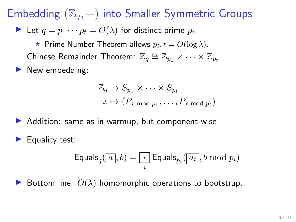In Let  $q = p_1 \cdots p_t = \tilde{O}(\lambda)$  for distinct prime  $p_i$ .

 $\star$  Prime Number Theorem allows  $p_i, t = O(\log \lambda)$ . Chinese Remainder Theorem:  $\mathbb{Z}_q \cong \mathbb{Z}_{p_1} \times \cdots \times \mathbb{Z}_{p_t}$ 

 $\blacktriangleright$  New embedding:

$$
\mathbb{Z}_q \to S_{p_1} \times \cdots \times S_{p_t}
$$

$$
x \mapsto (P_{x \mod p_1}, \dots, P_{x \mod p_t})
$$

- $\blacktriangleright$  Addition: same as in warmup, but component-wise
- $\blacktriangleright$  Equality test:

$$
\mathsf{Equals}_{q}(\boxed{a}, b) = \boxed{\cdot} \mathsf{Equals}_{p_i}(\boxed{a_i}, b \bmod p_i)
$$

Bottom line:  $\tilde{O}(\lambda)$  homomorphic operations to bootstrap.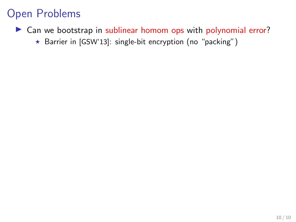#### Open Problems

- $\triangleright$  Can we bootstrap in sublinear homom ops with polynomial error?
	- \* Barrier in [GSW'13]: single-bit encryption (no "packing")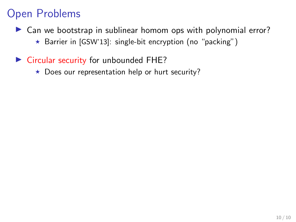#### Open Problems

- $\triangleright$  Can we bootstrap in sublinear homom ops with polynomial error?
	- $\star$  Barrier in [GSW'13]: single-bit encryption (no "packing")
- $\triangleright$  Circular security for unbounded FHE?
	- $\star$  Does our representation help or hurt security?